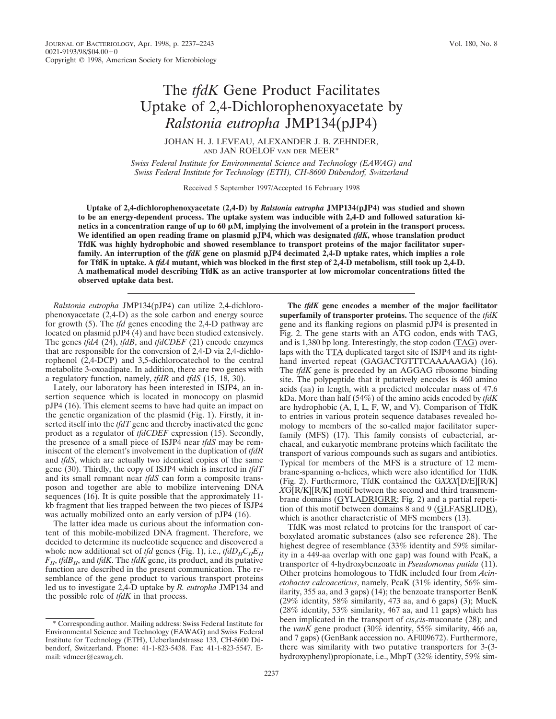## The *tfdK* Gene Product Facilitates Uptake of 2,4-Dichlorophenoxyacetate by *Ralstonia eutropha* JMP134(pJP4)

JOHAN H. J. LEVEAU, ALEXANDER J. B. ZEHNDER, AND JAN ROELOF VAN DER MEER\*

*Swiss Federal Institute for Environmental Science and Technology (EAWAG) and Swiss Federal Institute for Technology (ETH), CH-8600 Dübendorf, Switzerland* 

Received 5 September 1997/Accepted 16 February 1998

**Uptake of 2,4-dichlorophenoxyacetate (2,4-D) by** *Ralstonia eutropha* **JMP134(pJP4) was studied and shown to be an energy-dependent process. The uptake system was inducible with 2,4-D and followed saturation ki**netics in a concentration range of up to  $60 \mu M$ , implying the involvement of a protein in the transport process. **We identified an open reading frame on plasmid pJP4, which was designated** *tfdK***, whose translation product TfdK was highly hydrophobic and showed resemblance to transport proteins of the major facilitator superfamily. An interruption of the** *tfdK* **gene on plasmid pJP4 decimated 2,4-D uptake rates, which implies a role for TfdK in uptake. A** *tfdA* **mutant, which was blocked in the first step of 2,4-D metabolism, still took up 2,4-D. A mathematical model describing TfdK as an active transporter at low micromolar concentrations fitted the observed uptake data best.**

*Ralstonia eutropha* JMP134(pJP4) can utilize 2,4-dichlorophenoxyacetate  $(2,4-D)$  as the sole carbon and energy source for growth (5). The *tfd* genes encoding the 2,4-D pathway are located on plasmid pJP4 (4) and have been studied extensively. The genes *tfdA* (24), *tfdB*, and *tfdCDEF* (21) encode enzymes that are responsible for the conversion of 2,4-D via 2,4-dichlorophenol (2,4-DCP) and 3,5-dichlorocatechol to the central metabolite 3-oxoadipate. In addition, there are two genes with a regulatory function, namely, *tfdR* and *tfdS* (15, 18, 30).

Lately, our laboratory has been interested in ISJP4, an insertion sequence which is located in monocopy on plasmid pJP4 (16). This element seems to have had quite an impact on the genetic organization of the plasmid (Fig. 1). Firstly, it inserted itself into the *tfdT* gene and thereby inactivated the gene product as a regulator of *tfdCDEF* expression (15). Secondly, the presence of a small piece of ISJP4 near *tfdS* may be reminiscent of the element's involvement in the duplication of *tfdR* and *tfdS*, which are actually two identical copies of the same gene (30). Thirdly, the copy of ISJP4 which is inserted in *tfdT* and its small remnant near *tfdS* can form a composite transposon and together are able to mobilize intervening DNA sequences (16). It is quite possible that the approximately 11 kb fragment that lies trapped between the two pieces of ISJP4 was actually mobilized onto an early version of pJP4 (16).

The latter idea made us curious about the information content of this mobile-mobilized DNA fragment. Therefore, we decided to determine its nucleotide sequence and discovered a whole new additional set of *tfd* genes (Fig. 1), i.e., *tfdD<sub>II</sub>C<sub>II</sub>E*<sub>II</sub>  $F_{II}$ , *tfdB<sub>II</sub>*, and *tfdK*. The *tfdK* gene, its product, and its putative function are described in the present communication. The resemblance of the gene product to various transport proteins led us to investigate 2,4-D uptake by *R. eutropha* JMP134 and the possible role of *tfdK* in that process.

\* Corresponding author. Mailing address: Swiss Federal Institute for Environmental Science and Technology (EAWAG) and Swiss Federal Institute for Technology (ETH), Ueberlandstrasse 133, CH-8600 Du¨ bendorf, Switzerland. Phone: 41-1-823-5438. Fax: 41-1-823-5547. Email: vdmeer@eawag.ch.

**The** *tfdK* **gene encodes a member of the major facilitator superfamily of transporter proteins.** The sequence of the *tfdK* gene and its flanking regions on plasmid pJP4 is presented in Fig. 2. The gene starts with an ATG codon, ends with TAG, and is 1,380 bp long. Interestingly, the stop codon (TAG) overlaps with the TTA duplicated target site of ISJP4 and its righthand inverted repeat (GAGACTGTTTCAAAAAGA) (16). The *tfdK* gene is preceded by an AGGAG ribosome binding site. The polypeptide that it putatively encodes is 460 amino acids (aa) in length, with a predicted molecular mass of 47.6 kDa. More than half (54%) of the amino acids encoded by *tfdK* are hydrophobic (A, I, L, F, W, and V). Comparison of TfdK to entries in various protein sequence databases revealed homology to members of the so-called major facilitator superfamily (MFS) (17). This family consists of eubacterial, archaeal, and eukaryotic membrane proteins which facilitate the transport of various compounds such as sugars and antibiotics. Typical for members of the MFS is a structure of 12 membrane-spanning  $\alpha$ -helices, which were also identified for TfdK (Fig. 2). Furthermore, TfdK contained the G*XXX*[D/E][R/K] *X*G[R/K][R/K] motif between the second and third transmembrane domains  $(GYLANDRIGRR; Fig. 2)$  and a partial repetition of this motif between domains 8 and 9 (GLFASRLIDR), which is another characteristic of MFS members (13).

TfdK was most related to proteins for the transport of carboxylated aromatic substances (also see reference 28). The highest degree of resemblance (33% identity and 59% similarity in a 449-aa overlap with one gap) was found with PcaK, a transporter of 4-hydroxybenzoate in *Pseudomonas putida* (11). Other proteins homologous to TfdK included four from *Acinetobacter calcoaceticus*, namely, PcaK (31% identity, 56% similarity, 355 aa, and 3 gaps) (14); the benzoate transporter BenK  $(29\%$  identity, 58% similarity, 473 aa, and 6 gaps) (3); MucK (28% identity, 53% similarity, 467 aa, and 11 gaps) which has been implicated in the transport of *cis*,*cis*-muconate (28); and the *vanK* gene product (30% identity, 55% similarity, 466 aa, and 7 gaps) (GenBank accession no. AF009672). Furthermore, there was similarity with two putative transporters for 3-(3 hydroxyphenyl)propionate, i.e., MhpT (32% identity, 59% sim-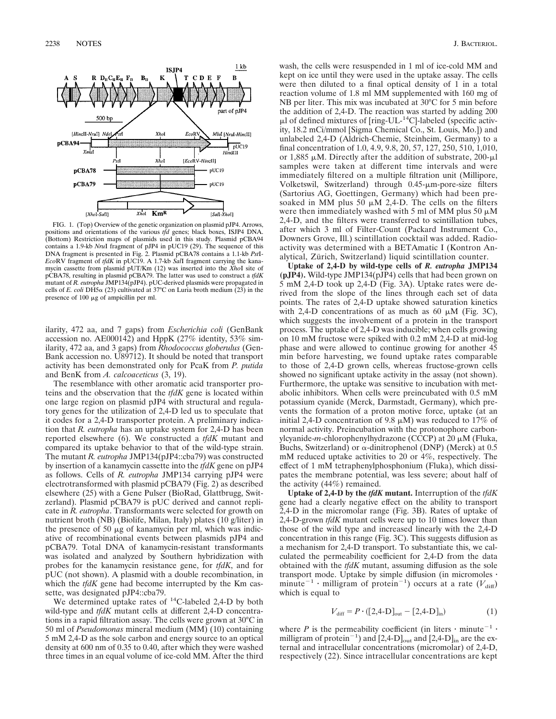

FIG. 1. (Top) Overview of the genetic organization on plasmid pJP4. Arrows, positions and orientations of the various *tfd* genes; black boxes, ISJP4 DNA. (Bottom) Restriction maps of plasmids used in this study. Plasmid pCBA94 contains a 1.9-kb *Nru*I fragment of pJP4 in pUC19 (29). The sequence of this DNA fragment is presented in Fig. 2. Plasmid pCBA78 contains a 1.1-kb *Pst*I-*Eco*RV fragment of *tfdK* in pUC19. A 1.7-kb *Sal*I fragment carrying the kanamycin cassette from plasmid pUT/Km (12) was inserted into the *Xho*I site of pCBA78, resulting in plasmid pCBA79. The latter was used to construct a *tfdK* mutant of *R. eutropha* JMP134(pJP4). pUC-derived plasmids were propagated in cells of *E. coli* DH5 $\alpha$  (23) cultivated at 37°C on Luria broth medium (23) in the presence of 100  $\mu$ g of ampicillin per ml.

ilarity, 472 aa, and 7 gaps) from *Escherichia coli* (GenBank accession no. AE000142) and HppK (27% identity, 53% similarity, 472 aa, and 3 gaps) from *Rhodococcus globerulus* (Gen-Bank accession no. U89712). It should be noted that transport activity has been demonstrated only for PcaK from *P. putida* and BenK from *A. calcoaceticus* (3, 19).

The resemblance with other aromatic acid transporter proteins and the observation that the *tfdK* gene is located within one large region on plasmid pJP4 with structural and regulatory genes for the utilization of 2,4-D led us to speculate that it codes for a 2,4-D transporter protein. A preliminary indication that *R. eutropha* has an uptake system for 2,4-D has been reported elsewhere (6). We constructed a *tfdK* mutant and compared its uptake behavior to that of the wild-type strain. The mutant *R. eutropha* JMP134(pJP4::cba79) was constructed by insertion of a kanamycin cassette into the *tfdK* gene on pJP4 as follows. Cells of *R. eutropha* JMP134 carrying pJP4 were electrotransformed with plasmid pCBA79 (Fig. 2) as described elsewhere (25) with a Gene Pulser (BioRad, Glattbrugg, Switzerland). Plasmid pCBA79 is pUC derived and cannot replicate in *R. eutropha*. Transformants were selected for growth on nutrient broth (NB) (Biolife, Milan, Italy) plates (10 g/liter) in the presence of 50  $\mu$ g of kanamycin per ml, which was indicative of recombinational events between plasmids pJP4 and pCBA79. Total DNA of kanamycin-resistant transformants was isolated and analyzed by Southern hybridization with probes for the kanamycin resistance gene, for *tfdK*, and for pUC (not shown). A plasmid with a double recombination, in which the *tfdK* gene had become interrupted by the Km cassette, was designated pJP4::cba79.

We determined uptake rates of  $^{14}$ C-labeled 2,4-D by both wild-type and *tfdK* mutant cells at different 2,4-D concentrations in a rapid filtration assay. The cells were grown at 30°C in 50 ml of *Pseudomonas* mineral medium (MM) (10) containing 5 mM 2,4-D as the sole carbon and energy source to an optical density at 600 nm of 0.35 to 0.40, after which they were washed three times in an equal volume of ice-cold MM. After the third

wash, the cells were resuspended in 1 ml of ice-cold MM and kept on ice until they were used in the uptake assay. The cells were then diluted to a final optical density of 1 in a total reaction volume of 1.8 ml MM supplemented with 160 mg of NB per liter. This mix was incubated at 30°C for 5 min before the addition of 2,4-D. The reaction was started by adding 200  $\mu$ l of defined mixtures of [ring-UL-<sup>14</sup>C]-labeled (specific activity, 18.2 mCi/mmol [Sigma Chemical Co., St. Louis, Mo.]) and unlabeled 2,4-D (Aldrich-Chemie, Steinheim, Germany) to a final concentration of 1.0, 4.9, 9.8, 20, 57, 127, 250, 510, 1,010, or 1,885  $\mu$ M. Directly after the addition of substrate, 200- $\mu$ l samples were taken at different time intervals and were immediately filtered on a multiple filtration unit (Millipore, Volketswil, Switzerland) through  $0.45$ - $\mu$ m-pore-size filters (Sartorius AG, Goettingen, Germany) which had been presoaked in MM plus 50  $\mu$ M 2,4-D. The cells on the filters were then immediately washed with 5 ml of MM plus 50  $\mu$ M 2,4-D, and the filters were transferred to scintillation tubes, after which 3 ml of Filter-Count (Packard Instrument Co., Downers Grove, Ill.) scintillation cocktail was added. Radioactivity was determined with a BETAmatic I (Kontron Analytical, Zürich, Switzerland) liquid scintillation counter.

**Uptake of 2,4-D by wild-type cells of** *R. eutropha* **JMP134 (pJP4).** Wild-type JMP134(pJP4) cells that had been grown on 5 mM 2,4-D took up 2,4-D (Fig. 3A). Uptake rates were derived from the slope of the lines through each set of data points. The rates of 2,4-D uptake showed saturation kinetics with 2,4-D concentrations of as much as 60  $\mu$ M (Fig. 3C), which suggests the involvement of a protein in the transport process. The uptake of 2,4-D was inducible; when cells growing on 10 mM fructose were spiked with 0.2 mM 2,4-D at mid-log phase and were allowed to continue growing for another 45 min before harvesting, we found uptake rates comparable to those of 2,4-D grown cells, whereas fructose-grown cells showed no significant uptake activity in the assay (not shown). Furthermore, the uptake was sensitive to incubation with metabolic inhibitors. When cells were preincubated with 0.5 mM potassium cyanide (Merck, Darmstadt, Germany), which prevents the formation of a proton motive force, uptake (at an initial 2,4-D concentration of 9.8  $\mu$ M) was reduced to 17% of normal activity. Preincubation with the protonophore carbonylcyanide-*m*-chlorophenylhydrazone (CCCP) at 20  $\mu$ M (Fluka, Buchs, Switzerland) or  $\alpha$ -dinitrophenol (DNP) (Merck) at 0.5 mM reduced uptake activities to 20 or 4%, respectively. The effect of 1 mM tetraphenylphosphonium (Fluka), which dissipates the membrane potential, was less severe; about half of the activity (44%) remained.

**Uptake of 2,4-D by the** *tfdK* **mutant.** Interruption of the *tfdK* gene had a clearly negative effect on the ability to transport 2,4-D in the micromolar range (Fig. 3B). Rates of uptake of 2,4-D-grown *tfdK* mutant cells were up to 10 times lower than those of the wild type and increased linearly with the 2,4-D concentration in this range (Fig. 3C). This suggests diffusion as a mechanism for 2,4-D transport. To substantiate this, we calculated the permeability coefficient for 2,4-D from the data obtained with the *tfdK* mutant, assuming diffusion as the sole transport mode. Uptake by simple diffusion (in micromoles  $\cdot$ minute<sup>-1</sup> · milligram of protein<sup>-1</sup>) occurs at a rate ( $V_{\text{diff}}$ ) which is equal to

$$
V_{\text{diff}} = P \cdot ([2, 4-D]_{\text{out}} - [2, 4-D]_{\text{in}}) \tag{1}
$$

where *P* is the permeability coefficient (in liters  $\cdot$  minute<sup>-1</sup>  $\cdot$ milligram of protein<sup>-1</sup>) and  $[2,4-D]_{\text{out}}$  and  $[2,4-D]_{\text{in}}$  are the external and intracellular concentrations (micromolar) of 2,4-D, respectively (22). Since intracellular concentrations are kept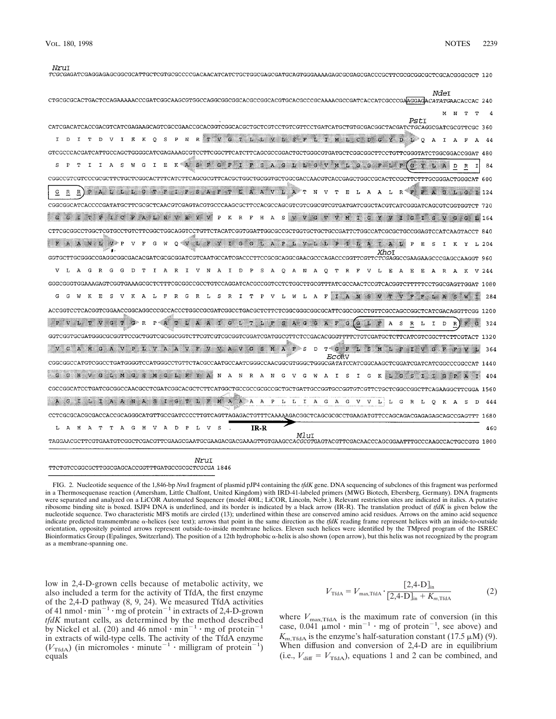| Nruī                                                                                                                                                                                                  |                    |            |         |
|-------------------------------------------------------------------------------------------------------------------------------------------------------------------------------------------------------|--------------------|------------|---------|
| CTGCGCGCACTGACTCCAGAAAAACCCGATCGGCAAGCGTGGCCAGGCGGCGGCACGCCGGCACGTGCACGCCCGCAAAACGCCGATCACCATCGCCCGAAGGAGACATATGAACACCAC 240                                                                          | Ndei               |            |         |
|                                                                                                                                                                                                       | м<br>N             |            |         |
| Pstī                                                                                                                                                                                                  |                    |            |         |
| R ST<br>G T L L V<br>к<br>S<br>N<br>L.<br>I M L C D G Y D L<br>S F<br>. I.                                                                                                                            | т                  |            | 44      |
| GTCGCCCACGATCATTGCCAGCTGGGGCATCGAGAAAGCGTCCTTCGGCTTCATCTTCAGCGCCGGACTGCTGGGCGTGATGCTCGGGGCTTCCTGTTCGGGTATCTGGCGGACCGGAT 480                                                                           |                    |            |         |
| $K$ $A$ $S$ $F$<br>$\mathsf{T}$<br>Е<br>SAGL LGV ML GG FLF<br>o                                                                                                                                       | - 12<br>D          | R          | 84      |
| CGGCCGTCGTCCCGCGCTTCTGCTCGGCACTTTCATCTTCAGCGCGTTCACGCTGCGGTGCGGTGCGACCAACGTCACCGAGCTGGCCGCACTCCGCTTCTTTGCGGGACTGGGCAT 600                                                                             |                    |            |         |
| A A V L A T<br>PALLLGT<br>N<br>R PI<br>₫<br>프<br>프<br>FIFSAFTL<br>v<br>т<br>Е<br>L<br>A<br>А<br>L                                                                                                     | G BILLION          |            | 124     |
| CGGCGGCATCACCCCGATATGCTTCGCGCTCAACGTCGAGTACGTGCCCAAGCGCTTCCACGCCAGCGTCGTCGGCGTCGTGATGATGGCTACGTCATCGGGATCAGCGTCGGTGFTCT_720                                                                           |                    |            |         |
| S V V G V V M I G Y<br>H A<br>GISVGG<br>AL N<br>к<br>$\mathbb{R}$<br>$\mathbf{F}$<br>Æ                                                                                                                |                    |            | 1. 164  |
| CTTCGCGGCCTGGCTCGTGCCTGTCTTCGGCTGGCAGGTCCTGTTCTACATCGGTGGATTGGCGCCGCTGGTGCTGCCGATTCTGGCCATCGCGCTGCCGGAGTCCATCAAGTACCT 840                                                                             |                    |            |         |
| A W L V P<br>$O \ll V$ is the $Y$<br>IGGLAPLVLD<br>т.<br>$\mathcal{A}$<br>G<br>w<br>-Tr<br>$\mathbb{R}^n$<br>- 1<br>- 2<br>- 12<br>P<br>Е<br>v<br>a sa                                                | -S<br>$\mathbf{I}$ | K Y        | $L$ 204 |
| Xhoi                                                                                                                                                                                                  |                    |            |         |
| v<br>$\mathbb{R}$<br>D<br>т.<br>A<br>G<br>G<br>G<br>$\mathbf{T}$<br>A<br>R<br>т<br>N<br>A<br>Ι.<br>D<br>P<br>s<br>v<br>A<br>Q<br>AN<br>A<br>$\circ$<br>T<br>R<br>v<br>- F<br>. т.<br>Е<br>А<br>E<br>E | A<br>R<br>A        | к          | V 244   |
| GGGCGGGTGGAAAGAGTCGGTGAAAGCGCTCTTTCGCGGCCGCCTGTCCAGGATCACGCCGGTCCTCTGGCTTGCGTTTATCGCCAACTCCGTCACGGTCTTTTTCCTGGCGAGTTGGAT 1080                                                                         |                    |            |         |
| К<br>A FIA N S<br>G<br>G<br>K<br>E<br>S.<br>V<br>A<br>L<br>F<br>R<br>s<br>R<br>P<br>L.<br>N<br>G<br>R<br>. т.<br>T<br>v<br>L<br>W<br>л                                                                | F L A              | W.         | 284     |
| ACCGGTCCTCACGGTCGGAACCGGCAGGCCCGCCACCCTGGCCGCGATCGGCCTGACGCTCTTCTCGGCGGCGGCGGCGATTCGGCGGCCTGTTCGCCAGCCGGCTCATCGACAGGTTCGG 1200                                                                        |                    |            |         |
| v G T<br>$L$ $L$<br>GC R<br>$P \ll \mathbf{A}$<br>- 94<br>a a shekara<br>G L<br>T<br>т.<br>F<br>S.<br>AG G<br>A F G<br>G<br>L.<br>æ<br>s<br>A<br>R<br>L                                               | D<br>T.<br>R       | G          | 324     |
| GGTCGGTGCGATGGGCGCGGTTCCGCTGGTCGCGGCGGTCTTCGTCGTCGCGGTCGGATCGATGGCGTTCTCCGACACGGGTTTTCTGTCGATGCTCTTCATCGTCGGCTTCTTCGTACT 1320                                                                         |                    |            |         |
| æ.<br>MAPS<br>D<br>ು<br>t Gi<br>. F<br>м                                                                                                                                                              |                    |            | 364     |
| ECORV<br>CGGCGGCCATGTCGGCCTGATGGGGTCCATGGGCCTGTTCTACGCCAATGCCAATCGGGCCAACGGCGTGGGCTGGGCGATATCCATCGGCAAGCTCGGATCATCGACCCCGGCCAT 1440                                                                   |                    |            |         |
| ು ಅ<br>GHVGLMGS<br>M G.<br>F<br>YAN AN R<br><b>L</b><br>G<br>w<br>A<br>-S<br>G KILGSI T<br>A<br>N<br>G<br>v<br>I<br><b>I</b>                                                                          | m.                 | ™P A<br>m. | 404     |
|                                                                                                                                                                                                       |                    |            |         |
| ть г<br>-G<br>I L I<br>AA<br>N A<br>S.<br>MAAAAPLLIA<br>- 1990 - 1990<br>G A<br>G<br>V V L<br>G<br>L<br>R<br>L                                                                                        | O.<br>к<br>A       | s<br>D     | 444     |
|                                                                                                                                                                                                       |                    |            |         |
| IR-R<br>н<br>A<br>ጥ<br>T<br>G<br>н<br>- 37<br>D<br>P<br>т.<br>v<br>s<br>А                                                                                                                             |                    |            | 460     |
| Mluɪ<br>TAGGAACGCTTCGTGAATGTCGGCTCGACGTTCGAAGCGAATGCGAAGACGAAGATGTTGTGAAGCCACGCGTGAGTACGTTCGACAACCCAGCGGAATTTGCCCAAGCCACTGCCGTG 1800                                                                  |                    |            |         |
|                                                                                                                                                                                                       |                    |            |         |

NruI TTCTGTCCGGCGCTTGGCGAGCACCGGTTTGATGCCGCGCTCGCGA 1846

low in 2,4-D-grown cells because of metabolic activity, we also included a term for the activity of TfdA, the first enzyme of the 2,4-D pathway (8, 9, 24). We measured TfdA activities of 41 nmol  $\cdot$  min<sup>-1</sup>  $\cdot$  mg of protein<sup>-1</sup> in extracts of 2,4-D-grown *tfdK* mutant cells, as determined by the method described by Nickel et al. (20) and 46 nmol  $\cdot$  min<sup>-1</sup>  $\cdot$  mg of protein<sup>-1</sup> in extracts of wild-type cells. The activity of the TfdA enzyme  $(V_{\text{TfdA}})$  (in micromoles  $\cdot$  minute<sup>-1</sup>  $\cdot$  milligram of protein<sup>-1</sup>) equals

$$
V_{\text{TfdA}} = V_{\text{max,TfdA}} \cdot \frac{[2,4-D]_{\text{in}}}{[2,4-D]_{\text{in}} + K_{m,\text{TfdA}}}
$$
(2)

where  $V_{\text{max,THA}}$  is the maximum rate of conversion (in this case,  $0.041 \mu$ mol·min<sup>-1</sup>·mg of protein<sup>-1</sup>, see above) and  $K_{m, \text{TfdA}}$  is the enzyme's half-saturation constant (17.5  $\mu$ M) (9). When diffusion and conversion of 2,4-D are in equilibrium (i.e.,  $V_{\text{diff}} = V_{\text{Tfda}}$ ), equations 1 and 2 can be combined, and

FIG. 2. Nucleotide sequence of the 1,846-bp *Nru*I fragment of plasmid pJP4 containing the *tfdK* gene. DNA sequencing of subclones of this fragment was performed in a Thermosequenase reaction (Amersham, Little Chalfont, United Kingdom) with IRD-41-labeled primers (MWG Biotech, Ebersberg, Germany). DNA fragments were separated and analyzed on a LiCOR Automated Sequencer (model 400L; LiCOR, Lincoln, Nebr.). Relevant restriction sites are indicated in italics. A putative ribosome binding site is boxed. ISJP4 DNA is underlined, and its border is indicated by a black arrow (IR-R). The translation product of *tfdK* is given below the nucleotide sequence. Two characteristic MFS motifs are circled (13); underlined within these are conserved amino acid residues. Arrows on the amino acid sequence indicate predicted transmembrane a-helices (see text); arrows that point in the same direction as the *tfdK* reading frame represent helices with an inside-to-outside orientation, oppositely pointed arrows represent outside-to-inside membrane helices. Eleven such helices were identified by the TMpred program of the ISREC Bioinformatics Group (Epalinges, Switzerland). The position of a 12th hydrophobic  $\alpha$ -helix is also shown (open arrow), but this helix was not recognized by the program as a membrane-spanning one.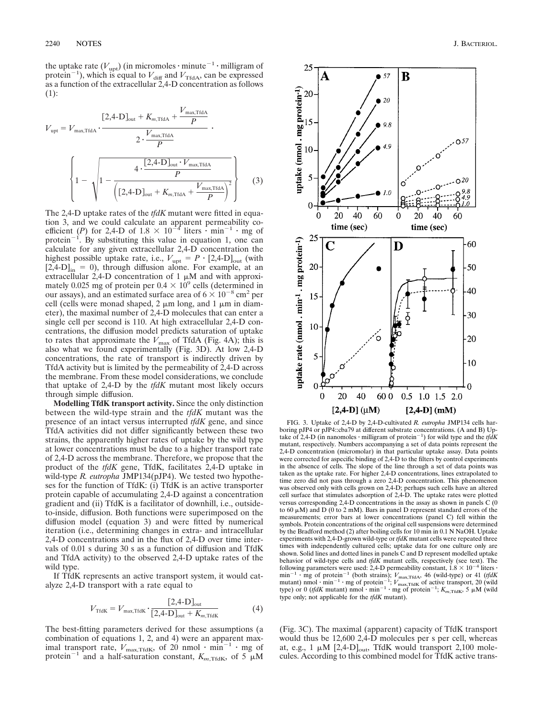the uptake rate  $(V_{\text{upt}})$  (in micromoles  $\cdot$  minute<sup>-1</sup>  $\cdot$  milligram of protein<sup>-1</sup>), which is equal to  $V_{\text{diff}}$  and  $V_{\text{TfdA}}$ , can be expressed as a function of the extracellular 2,4-D concentration as follows (1):

$$
V_{\text{upt}} = V_{\text{max,TfdA}} \cdot \frac{[2,4-D]_{\text{out}} + K_{m,\text{TfdA}} + \frac{V_{\text{max,TfdA}}}{P}}{2 \cdot \frac{V_{\text{max,TfdA}}}{P}} \cdot \frac{2 \cdot \frac{V_{\text{max,TfdA}}}{P}}{(\frac{1}{[2,4-D]_{\text{out}} + K_{m,\text{TfdA}} + \frac{V_{\text{max,TfdA}}}{P})^2}} \right) \tag{3}
$$

The 2,4-D uptake rates of the *tfdK* mutant were fitted in equation 3, and we could calculate an apparent permeability coefficient (*P*) for 2,4-D of  $1.8 \times 10^{-4}$  liters  $\cdot$  min<sup>-1</sup>  $\cdot$  mg of protein<sup> $-1$ </sup>. By substituting this value in equation 1, one can calculate for any given extracellular 2,4-D concentration the highest possible uptake rate, i.e.,  $V_{\text{upt}} = P \cdot [2,4-D]_{\text{out}}$  (with  $[2,4-D]_{in} = 0$ ), through diffusion alone. For example, at an extracellular 2,4-D concentration of 1  $\mu$ M and with approximately 0.025 mg of protein per  $0.4 \times 10^9$  cells (determined in our assays), and an estimated surface area of  $6 \times 10^{-8}$  cm<sup>2</sup> per cell (cells were monad shaped,  $2 \mu m$  long, and  $1 \mu m$  in diameter), the maximal number of 2,4-D molecules that can enter a single cell per second is 110. At high extracellular 2,4-D concentrations, the diffusion model predicts saturation of uptake to rates that approximate the  $V_{\text{max}}$  of TfdA (Fig. 4A); this is also what we found experimentally (Fig. 3D). At low 2,4-D concentrations, the rate of transport is indirectly driven by TfdA activity but is limited by the permeability of 2,4-D across the membrane. From these model considerations, we conclude that uptake of 2,4-D by the *tfdK* mutant most likely occurs through simple diffusion.

**Modelling TfdK transport activity.** Since the only distinction between the wild-type strain and the *tfdK* mutant was the presence of an intact versus interrupted *tfdK* gene, and since TfdA activities did not differ significantly between these two strains, the apparently higher rates of uptake by the wild type at lower concentrations must be due to a higher transport rate of 2,4-D across the membrane. Therefore, we propose that the product of the *tfdK* gene, TfdK, facilitates 2,4-D uptake in wild-type *R. eutropha* JMP134(pJP4). We tested two hypotheses for the function of TfdK: (i) TfdK is an active transporter protein capable of accumulating 2,4-D against a concentration gradient and (ii) TfdK is a facilitator of downhill, i.e., outsideto-inside, diffusion. Both functions were superimposed on the diffusion model (equation 3) and were fitted by numerical iteration (i.e., determining changes in extra- and intracellular 2,4-D concentrations and in the flux of 2,4-D over time intervals of 0.01 s during 30 s as a function of diffusion and TfdK and TfdA activity) to the observed 2,4-D uptake rates of the wild type.

If TfdK represents an active transport system, it would catalyze 2,4-D transport with a rate equal to

$$
V_{\text{TfdK}} = V_{\text{max,TfdK}} \cdot \frac{[2,4-D]_{\text{out}}}{[2,4-D]_{\text{out}} + K_{m,\text{TfdK}}}
$$
(4)

The best-fitting parameters derived for these assumptions (a combination of equations 1, 2, and 4) were an apparent maximal transport rate,  $V_{\text{max,THK}}$ , of 20 nmol  $\cdot$  min<sup>-1</sup>  $\cdot$  mg of protein<sup>-1</sup> and a half-saturation constant,  $K_{m,\text{Tfdk}}$ , of 5  $\mu$ M



FIG. 3. Uptake of 2,4-D by 2,4-D-cultivated *R. eutropha* JMP134 cells harboring pJP4 or pJP4::cba79 at different substrate concentrations. (A and B) Up take of 2,4-D (in nanomoles  $\cdot$  milligram of protein<sup>-1</sup>) for wild type and the *tfdK* mutant, respectively. Numbers accompanying a set of data points represent the 2,4-D concentration (micromolar) in that particular uptake assay. Data points were corrected for aspecific binding of 2,4-D to the filters by control experiments in the absence of cells. The slope of the line through a set of data points was taken as the uptake rate. For higher 2,4-D concentrations, lines extrapolated to time zero did not pass through a zero 2,4-D concentration. This phenomenon was observed only with cells grown on 2,4-D; perhaps such cells have an altered cell surface that stimulates adsorption of 2,4-D. The uptake rates were plotted versus corresponding 2,4-D concentrations in the assay as shown in panels C (0 to 60  $\mu$ M) and D (0 to 2 mM). Bars in panel D represent standard errors of the measurements; error bars at lower concentrations (panel C) fell within the symbols. Protein concentrations of the original cell suspensions were determined by the Bradford method (2) after boiling cells for 10 min in 0.1 N NaOH. Uptake experiments with 2,4-D-grown wild-type or *tfdK* mutant cells were repeated three times with independently cultured cells; uptake data for one culture only are shown. Solid lines and dotted lines in panels C and D represent modelled uptake behavior of wild-type cells and *tfdK* mutant cells, respectively (see text). The following parameters were used: 2,4-D permeability constant,  $1.8 \times 10^{-4}$  liters min<sup>-1</sup> • mg of protein<sup>-1</sup> (both strains);  $V_{\text{max,TrdA}}$ , 46 (wild-type) or 41 (*tfdK* mutant) nmol • min<sup>-1</sup> • mg of protein<sup>-1</sup>;  $V_{\text{max,TrdA}}$  of active transport, 20 (wild type) or 0 (*tfdK* mutant) nmol • min<sup>-1</sup> • m type only; not applicable for the *tfdK* mutant).

(Fig. 3C). The maximal (apparent) capacity of TfdK transport would thus be 12,600 2,4-D molecules per s per cell, whereas at, e.g., 1  $\mu$ M [2,4-D]<sub>out</sub>, TfdK would transport 2,100 molecules. According to this combined model for TfdK active trans-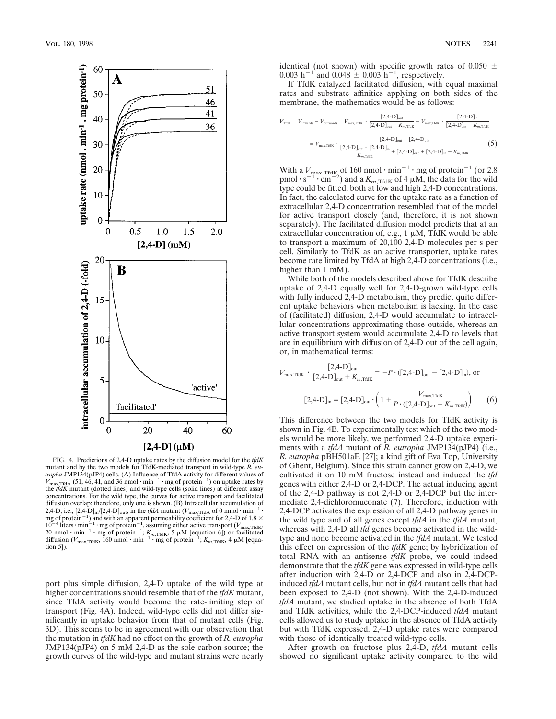

FIG. 4. Predictions of 2,4-D uptake rates by the diffusion model for the *tfdK* mutant and by the two models for TfdK-mediated transport in wild-type *R. eutropha* JMP134(pJP4) cells. (A) Influence of TfdA activity for different values of  $V_{\text{max,THdA}}$  (51, 46, 41, and 36 nmol  $\cdot$  min<sup>-1</sup>  $\cdot$  mg of protein<sup>-1</sup>) on uptake rates by the *tfdK* mutant (dotted lines) and wild-type cells (solid lines) at different assay concentrations. For the wild type, the curves for active transport and facilitated diffusion overlap; therefore, only one is shown. (B) Intracellular accumulation of 2,4-D, i.e.,  $[2,4-D]_{in}/[2,4-D]_{out}$ , in the *tfdA* mutant ( $V_{max,THA}$  of 0 nmol · min<sup>-1</sup> · mg of protein<sup>-1</sup>) and with an apparent permeability coefficient for 2,4-D of 1.8  $\times$  $10^{-4}$  liters  $\cdot$  min<sup>-1</sup>  $\cdot$  mg of protein<sup>-1</sup>, assuming either active transport ( $V_{\text{max,THdK}}$ , 20 nmol  $\cdot$  min<sup>-1</sup>  $\cdot$  mg of protein<sup>-1</sup>;  $K_{m,\text{THdK}}$ , 5  $\mu$ M [equation 6]) or facilitated diffusion ( $V_{\text{max,THdK}}$ tion 5]).

port plus simple diffusion, 2,4-D uptake of the wild type at higher concentrations should resemble that of the *tfdK* mutant, since TfdA activity would become the rate-limiting step of transport (Fig. 4A). Indeed, wild-type cells did not differ significantly in uptake behavior from that of mutant cells (Fig. 3D). This seems to be in agreement with our observation that the mutation in *tfdK* had no effect on the growth of *R. eutropha* JMP134(pJP4) on 5 mM 2,4-D as the sole carbon source; the growth curves of the wild-type and mutant strains were nearly identical (not shown) with specific growth rates of 0.050  $\pm$ 0.003 h<sup>-1</sup> and 0.048  $\pm$  0.003 h<sup>-1</sup>, respectively.

If TfdK catalyzed facilitated diffusion, with equal maximal rates and substrate affinities applying on both sides of the membrane, the mathematics would be as follows:

$$
V_{\text{TdK}} = V_{\text{inwards}} - V_{\text{outwards}} = V_{\text{max,TdK}} \cdot \frac{[2,4-D]_{\text{out}}}{[2,4-D]_{\text{out}} + K_{m,\text{TdK}}} - V_{\text{max,TdK}} \cdot \frac{[2,4-D]_{\text{in}}}{[2,4-D]_{\text{in}} + K_{m,\text{TdK}}}
$$

$$
= V_{\text{max,TdK}} \cdot \frac{[2,4-D]_{\text{out}} - [2,4-D]_{\text{out}} - [2,4-D]_{\text{in}}}{K_{m,\text{TdK}}} + [2,4-D]_{\text{out}} + [2,4-D]_{\text{in}} + K_{m,\text{TdK}}} \tag{5}
$$

With a  $V_{\text{max,THdK}}$  of 160 nmol  $\cdot$  min<sup>-1</sup>  $\cdot$  mg of protein<sup>-1</sup> (or 2.8) pmol  $\cdot$  s<sup>-1</sup> $\cdot$ cm<sup>-2</sup>) and a  $K_{m,\text{Tfdk}}$  of 4  $\mu$ M, the data for the wild type could be fitted, both at low and high 2,4-D concentrations. In fact, the calculated curve for the uptake rate as a function of extracellular 2,4-D concentration resembled that of the model for active transport closely (and, therefore, it is not shown separately). The facilitated diffusion model predicts that at an extracellular concentration of, e.g.,  $1 \mu M$ , TfdK would be able to transport a maximum of 20,100 2,4-D molecules per s per cell. Similarly to TfdK as an active transporter, uptake rates become rate limited by TfdA at high 2,4-D concentrations (i.e., higher than 1 mM).

While both of the models described above for TfdK describe uptake of 2,4-D equally well for 2,4-D-grown wild-type cells with fully induced 2,4-D metabolism, they predict quite different uptake behaviors when metabolism is lacking. In the case of (facilitated) diffusion, 2,4-D would accumulate to intracellular concentrations approximating those outside, whereas an active transport system would accumulate 2,4-D to levels that are in equilibrium with diffusion of 2,4-D out of the cell again, or, in mathematical terms:

$$
V_{\text{max,TfdK}} \cdot \frac{[2,4 \cdot \text{D}]_{\text{out}}}{[2,4 \cdot \text{D}]_{\text{out}} + K_{m,\text{TfdK}}} = -P \cdot ([2,4 \cdot \text{D}]_{\text{out}} - [2,4 \cdot \text{D}]_{\text{in}}), \text{ or}
$$

$$
[2,4 \cdot \text{D}]_{\text{in}} = [2,4 \cdot \text{D}]_{\text{out}} \cdot \left(1 + \frac{V_{\text{max,TfdK}}}{P \cdot ([2,4 \cdot \text{D}]_{\text{out}} + K_{m,\text{TfdK}})}\right) \tag{6}
$$

This difference between the two models for TfdK activity is shown in Fig. 4B. To experimentally test which of the two models would be more likely, we performed 2,4-D uptake experiments with a *tfdA* mutant of *R. eutropha* JMP134(pJP4) (i.e., *R. eutropha* pBH501aE [27]; a kind gift of Eva Top, University of Ghent, Belgium). Since this strain cannot grow on 2,4-D, we cultivated it on 10 mM fructose instead and induced the *tfd* genes with either 2,4-D or 2,4-DCP. The actual inducing agent of the 2,4-D pathway is not 2,4-D or 2,4-DCP but the intermediate 2,4-dichloromuconate (7). Therefore, induction with 2,4-DCP activates the expression of all 2,4-D pathway genes in the wild type and of all genes except *tfdA* in the *tfdA* mutant, whereas with 2,4-D all *tfd* genes become activated in the wildtype and none become activated in the *tfdA* mutant. We tested this effect on expression of the *tfdK* gene; by hybridization of total RNA with an antisense *tfdK* probe, we could indeed demonstrate that the *tfdK* gene was expressed in wild-type cells after induction with 2,4-D or 2,4-DCP and also in 2,4-DCPinduced *tfdA* mutant cells, but not in *tfdA* mutant cells that had been exposed to 2,4-D (not shown). With the 2,4-D-induced *tfdA* mutant, we studied uptake in the absence of both TfdA and TfdK activities, while the 2,4-DCP-induced *tfdA* mutant cells allowed us to study uptake in the absence of TfdA activity but with TfdK expressed. 2,4-D uptake rates were compared with those of identically treated wild-type cells.

After growth on fructose plus 2,4-D, *tfdA* mutant cells showed no significant uptake activity compared to the wild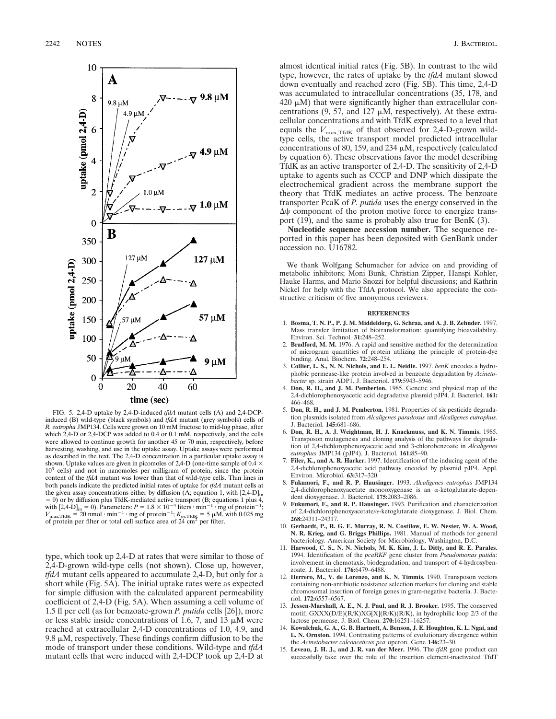

FIG. 5. 2,4-D uptake by 2,4-D-induced *tfdA* mutant cells (A) and 2,4-DCPinduced (B) wild-type (black symbols) and *tfdA* mutant (grey symbols) cells of *R. eutropha* JMP134. Cells were grown on 10 mM fructose to mid-log phase, after which 2,4-D or 2,4-DCP was added to 0.4 or 0.1 mM, respectively, and the cells were allowed to continue growth for another 45 or 70 min, respectively, before harvesting, washing, and use in the uptake assay. Uptake assays were performed as described in the text. The 2,4-D concentration in a particular uptake assay is shown. Uptake values are given in picomoles of 2,4-D (one-time sample of 0.4  $\times$ 10<sup>9</sup> cells) and not in nanomoles per milligram of protein, since the protein content of the *tfdA* mutant was lower than that of wild-type cells. Thin lines in both panels indicate the predicted initial rates of uptake for *tfdA* mutant cells at the given assay concentrations either by diffusion  $(A;$  equation 1, with  $[2,4-D]_{in}$ = 0) or by diffusion plus TfdK-mediated active transport (B; equations 1 plus 4, with [2,4-D]<sub>in</sub> = 0). Parameters:  $P = 1.8 \times 10^{-4}$  liters · min<sup>-1</sup> · mg of protein<sup>-1</sup>;  $V_{\text{max,THAK}} = 20 \text{ nmol} \cdot \text{min}^{-1} \cdot \text{mg}$  of protein<sup>-1</sup>;  $K_{m,\text{THAK}} = 5 \mu \text{M}$ , with 0.025 mg of protein per filter or total cell surface area of 24 cm<sup>2</sup> per filter.

type, which took up 2,4-D at rates that were similar to those of 2,4-D-grown wild-type cells (not shown). Close up, however, *tfdA* mutant cells appeared to accumulate 2,4-D, but only for a short while (Fig. 5A). The initial uptake rates were as expected for simple diffusion with the calculated apparent permeability coefficient of 2,4-D (Fig. 5A). When assuming a cell volume of 1.5 fl per cell (as for benzoate-grown *P. putida* cells [26]), more or less stable inside concentrations of 1.6, 7, and 13  $\mu$ M were reached at extracellular 2,4-D concentrations of 1.0, 4.9, and 9.8  $\mu$ M, respectively. These findings confirm diffusion to be the mode of transport under these conditions. Wild-type and *tfdA* mutant cells that were induced with 2,4-DCP took up 2,4-D at

almost identical initial rates (Fig. 5B). In contrast to the wild type, however, the rates of uptake by the *tfdA* mutant slowed down eventually and reached zero (Fig. 5B). This time, 2,4-D was accumulated to intracellular concentrations (35, 178, and  $420 \mu M$ ) that were significantly higher than extracellular concentrations  $(9, 57,$  and  $127 \mu M$ , respectively). At these extracellular concentrations and with TfdK expressed to a level that equals the  $V_{\text{max,THdK}}$  of that observed for 2,4-D-grown wildtype cells, the active transport model predicted intracellular concentrations of 80, 159, and 234  $\mu$ M, respectively (calculated by equation 6). These observations favor the model describing TfdK as an active transporter of 2,4-D. The sensitivity of 2,4-D uptake to agents such as CCCP and DNP which dissipate the electrochemical gradient across the membrane support the theory that TfdK mediates an active process. The benzoate transporter PcaK of *P. putida* uses the energy conserved in the  $\Delta\psi$  component of the proton motive force to energize transport (19), and the same is probably also true for BenK (3).

**Nucleotide sequence accession number.** The sequence reported in this paper has been deposited with GenBank under accession no. U16782.

We thank Wolfgang Schumacher for advice on and providing of metabolic inhibitors; Moni Bunk, Christian Zipper, Hanspi Kohler, Hauke Harms, and Mario Snozzi for helpful discussions; and Kathrin Nickel for help with the TfdA protocol. We also appreciate the constructive criticism of five anonymous reviewers.

## **REFERENCES**

- 1. **Bosma, T. N. P., P. J. M. Middeldorp, G. Schraa, and A. J. B. Zehnder.** 1997. Mass transfer limitation of biotransformation: quantifying bioavailability. Environ. Sci. Technol. **31:**248–252.
- 2. **Bradford, M. M.** 1976. A rapid and sensitive method for the determination of microgram quantities of protein utilizing the principle of protein-dye binding. Anal. Biochem. **72:**248–254.
- 3. **Collier, L. S., N. N. Nichols, and E. L. Neidle.** 1997. *benK* encodes a hydrophobic permease-like protein involved in benzoate degradation by *Acinetobacter* sp. strain ADP1. J. Bacteriol. **179:**5943–5946.
- 4. **Don, R. H., and J. M. Pemberton.** 1985. Genetic and physical map of the 2,4-dichlorophenoxyacetic acid degradative plasmid pJP4. J. Bacteriol. **161:** 466–468.
- 5. **Don, R. H., and J. M. Pemberton.** 1981. Properties of six pesticide degradation plasmids isolated from *Alcaligenes paradoxus* and *Alcaligenes eutrophus*. J. Bacteriol. **145:**681–686.
- 6. **Don, R. H., A. J. Weightman, H. J. Knackmuss, and K. N. Timmis.** 1985. Transposon mutagenesis and cloning analysis of the pathways for degradation of 2,4-dichlorophenoxyacetic acid and 3-chlorobenzoate in *Alcaligenes eutrophus* JMP134 (pJP4). J. Bacteriol. **161:**85–90.
- 7. **Filer, K., and A. R. Harker.** 1997. Identification of the inducing agent of the 2,4-dichlorophenoxyacetic acid pathway encoded by plasmid pJP4. Appl. Environ. Microbiol. **63:**317–320.
- 8. **Fukumori, F., and R. P. Hausinger.** 1993. *Alcaligenes eutrophus* JMP134 2,4-dichlorophenoxyacetate monooxygenase is an a-ketoglutarate-dependent dioxygenase. J. Bacteriol. **175:**2083–2086.
- 9. **Fukumori, F., and R. P. Hausinger.** 1993. Purification and characterization of 2,4-dichlorophenoxyacetate/a-ketoglutarate dioxygenase. J. Biol. Chem. **268:**24311–24317.
- 10. **Gerhardt, P., R. G. E. Murray, R. N. Costilow, E. W. Nester, W. A. Wood, N. R. Krieg, and G. Briggs Phillips.** 1981. Manual of methods for general bacteriology. American Society for Microbiology, Washington, D.C.
- 11. **Harwood, C. S., N. N. Nichols, M. K. Kim, J. L. Ditty, and R. E. Parales.** 1994. Identification of the *pcaRKF* gene cluster from *Pseudomonas putida*: involvement in chemotaxis, biodegradation, and transport of 4-hydroxybenzoate. J. Bacteriol. **176:**6479–6488.
- 12. **Herrero, M., V. de Lorenzo, and K. N. Timmis.** 1990. Transposon vectors containing non-antibiotic resistance selection markers for cloning and stable chromosomal insertion of foreign genes in gram-negative bacteria. J. Bacteriol. **172:**6557–6567.
- 13. **Jessen-Marshall, A. E., N. J. Paul, and R. J. Brooker.** 1995. The conserved motif,  $GXXX(D/E)(R/K)XG[X](R/K)(R/K)$ , in hydrophilic loop 2/3 of the lactose permease. J. Biol. Chem. **270:**16251–16257.
- 14. **Kowalchuk, G. A., G. B. Hartnett, A. Benson, J. E. Houghton, K. L. Ngai, and L. N. Ornston.** 1994. Contrasting patterns of evolutionary divergence within the *Acinetobacter calcoaceticus pca* operon. Gene **146:**23–30.
- 15. **Leveau, J. H. J., and J. R. van der Meer.** 1996. The *tfdR* gene product can successfully take over the role of the insertion element-inactivated TfdT